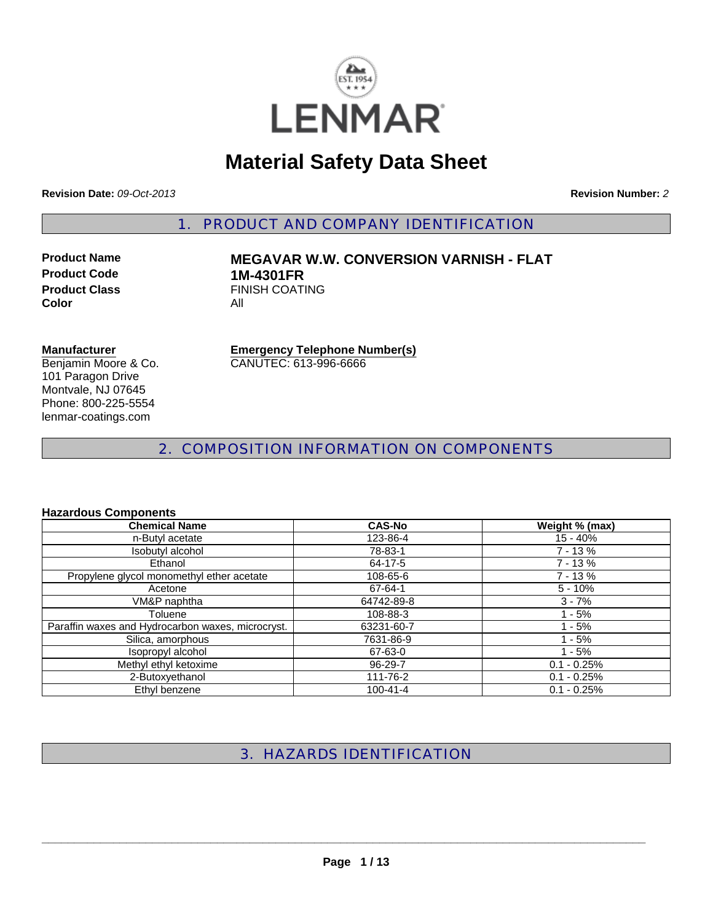

# **Material Safety Data Sheet**

**Revision Date:** *09-Oct-2013* **Revision Number:** *2*

1. PRODUCT AND COMPANY IDENTIFICATION

**Product Code 1M-4301FR**<br>**Product Class** FINISH COAT **Color** All

# **Product Name MEGAVAR W.W. CONVERSION VARNISH - FLAT FINISH COATING**

#### **Manufacturer**

Benjamin Moore & Co. 101 Paragon Drive Montvale, NJ 07645 Phone: 800-225-5554 lenmar-coatings.com

**Emergency Telephone Number(s)** CANUTEC: 613-996-6666

2. COMPOSITION INFORMATION ON COMPONENTS

#### **Hazardous Components**

| <b>Chemical Name</b>                              | <b>CAS-No</b>  | Weight % (max) |
|---------------------------------------------------|----------------|----------------|
| n-Butyl acetate                                   | 123-86-4       | $15 - 40%$     |
| Isobutyl alcohol                                  | 78-83-1        | $7 - 13%$      |
| Ethanol                                           | 64-17-5        | $7 - 13%$      |
| Propylene glycol monomethyl ether acetate         | 108-65-6       | $7 - 13%$      |
| Acetone                                           | 67-64-1        | $5 - 10%$      |
| VM&P naphtha                                      | 64742-89-8     | $3 - 7%$       |
| Toluene                                           | 108-88-3       | $1 - 5%$       |
| Paraffin waxes and Hydrocarbon waxes, microcryst. | 63231-60-7     | $1 - 5%$       |
| Silica, amorphous                                 | 7631-86-9      | $1 - 5%$       |
| Isopropyl alcohol                                 | 67-63-0        | $1 - 5%$       |
| Methyl ethyl ketoxime                             | 96-29-7        | $0.1 - 0.25%$  |
| 2-Butoxyethanol                                   | 111-76-2       | $0.1 - 0.25%$  |
| Ethyl benzene                                     | $100 - 41 - 4$ | $0.1 - 0.25%$  |

# 3. HAZARDS IDENTIFICATION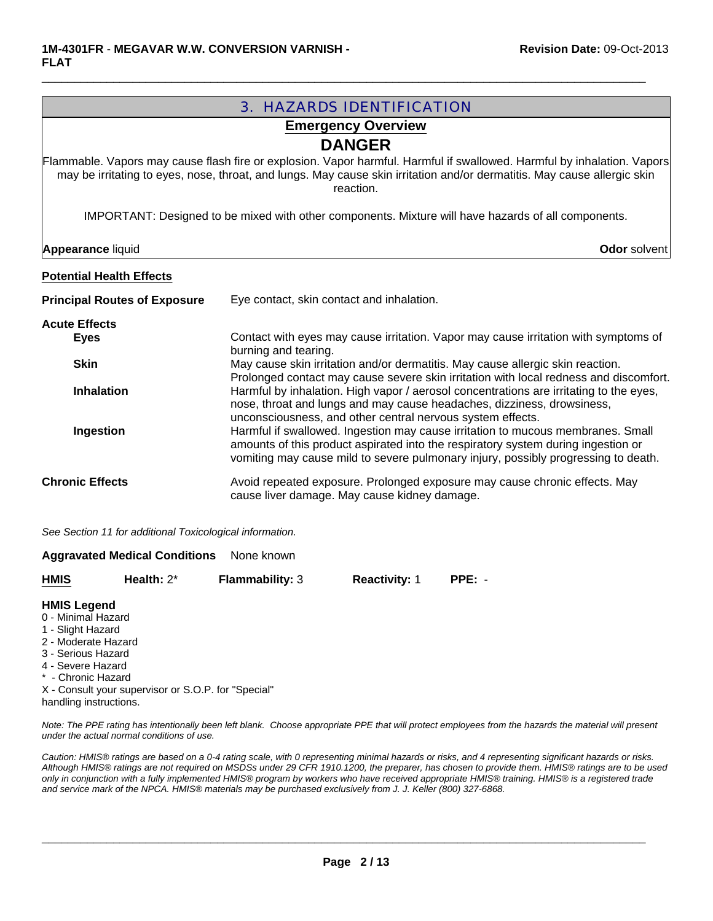| <b>3. HAZARDS IDENTIFICATION</b>                                                                                                                                |                                                                                                                                                                                                                                                                  |  |  |  |
|-----------------------------------------------------------------------------------------------------------------------------------------------------------------|------------------------------------------------------------------------------------------------------------------------------------------------------------------------------------------------------------------------------------------------------------------|--|--|--|
| <b>Emergency Overview</b>                                                                                                                                       |                                                                                                                                                                                                                                                                  |  |  |  |
|                                                                                                                                                                 | <b>DANGER</b>                                                                                                                                                                                                                                                    |  |  |  |
|                                                                                                                                                                 | Flammable. Vapors may cause flash fire or explosion. Vapor harmful. Harmful if swallowed. Harmful by inhalation. Vapors<br>may be irritating to eyes, nose, throat, and lungs. May cause skin irritation and/or dermatitis. May cause allergic skin<br>reaction. |  |  |  |
|                                                                                                                                                                 | IMPORTANT: Designed to be mixed with other components. Mixture will have hazards of all components.                                                                                                                                                              |  |  |  |
| <b>Appearance liquid</b>                                                                                                                                        | Odor solvent                                                                                                                                                                                                                                                     |  |  |  |
| <b>Potential Health Effects</b>                                                                                                                                 |                                                                                                                                                                                                                                                                  |  |  |  |
| <b>Principal Routes of Exposure</b>                                                                                                                             | Eye contact, skin contact and inhalation.                                                                                                                                                                                                                        |  |  |  |
| <b>Acute Effects</b>                                                                                                                                            |                                                                                                                                                                                                                                                                  |  |  |  |
| <b>Eyes</b>                                                                                                                                                     | Contact with eyes may cause irritation. Vapor may cause irritation with symptoms of                                                                                                                                                                              |  |  |  |
| <b>Skin</b>                                                                                                                                                     | burning and tearing.<br>May cause skin irritation and/or dermatitis. May cause allergic skin reaction.                                                                                                                                                           |  |  |  |
|                                                                                                                                                                 | Prolonged contact may cause severe skin irritation with local redness and discomfort.                                                                                                                                                                            |  |  |  |
| <b>Inhalation</b>                                                                                                                                               | Harmful by inhalation. High vapor / aerosol concentrations are irritating to the eyes,<br>nose, throat and lungs and may cause headaches, dizziness, drowsiness,<br>unconsciousness, and other central nervous system effects.                                   |  |  |  |
| Ingestion                                                                                                                                                       | Harmful if swallowed. Ingestion may cause irritation to mucous membranes. Small<br>amounts of this product aspirated into the respiratory system during ingestion or<br>vomiting may cause mild to severe pulmonary injury, possibly progressing to death.       |  |  |  |
| <b>Chronic Effects</b>                                                                                                                                          | Avoid repeated exposure. Prolonged exposure may cause chronic effects. May<br>cause liver damage. May cause kidney damage.                                                                                                                                       |  |  |  |
| See Section 11 for additional Toxicological information.                                                                                                        |                                                                                                                                                                                                                                                                  |  |  |  |
| <b>Aggravated Medical Conditions</b>                                                                                                                            | None known                                                                                                                                                                                                                                                       |  |  |  |
| Health: $2^*$<br><b>HMIS</b>                                                                                                                                    | Flammability: 3<br><b>Reactivity: 1</b><br>$PPE: -$                                                                                                                                                                                                              |  |  |  |
| <b>HMIS Legend</b><br>0 - Minimal Hazard<br>1 - Slight Hazard<br>2 - Moderate Hazard<br>3 - Serious Hazard<br>4 - Severe Hazard<br>* - Chronic Hazard<br>------ |                                                                                                                                                                                                                                                                  |  |  |  |

 $\Box$ 

X - Consult your supervisor or S.O.P. for "Special" handling instructions.

*Note: The PPE rating has intentionally been left blank. Choose appropriate PPE that will protect employees from the hazards the material will present under the actual normal conditions of use.*

*Caution: HMIS® ratings are based on a 0-4 rating scale, with 0 representing minimal hazards or risks, and 4 representing significant hazards or risks. Although HMIS® ratings are not required on MSDSs under 29 CFR 1910.1200, the preparer, has chosen to provide them. HMIS® ratings are to be used only in conjunction with a fully implemented HMIS® program by workers who have received appropriate HMIS® training. HMIS® is a registered trade and service mark of the NPCA. HMIS® materials may be purchased exclusively from J. J. Keller (800) 327-6868.*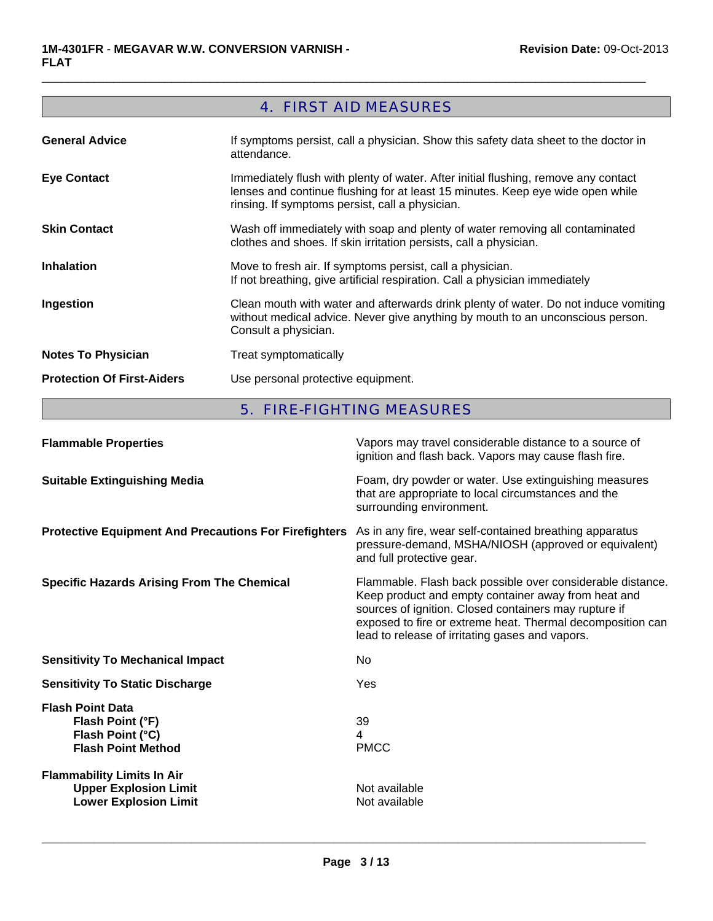# 4. FIRST AID MEASURES

 $\Box$ 

| <b>General Advice</b>             | If symptoms persist, call a physician. Show this safety data sheet to the doctor in<br>attendance.                                                                                                                      |
|-----------------------------------|-------------------------------------------------------------------------------------------------------------------------------------------------------------------------------------------------------------------------|
| <b>Eye Contact</b>                | Immediately flush with plenty of water. After initial flushing, remove any contact<br>lenses and continue flushing for at least 15 minutes. Keep eye wide open while<br>rinsing. If symptoms persist, call a physician. |
| <b>Skin Contact</b>               | Wash off immediately with soap and plenty of water removing all contaminated<br>clothes and shoes. If skin irritation persists, call a physician.                                                                       |
| <b>Inhalation</b>                 | Move to fresh air. If symptoms persist, call a physician.<br>If not breathing, give artificial respiration. Call a physician immediately                                                                                |
| Ingestion                         | Clean mouth with water and afterwards drink plenty of water. Do not induce vomiting<br>without medical advice. Never give anything by mouth to an unconscious person.<br>Consult a physician.                           |
| <b>Notes To Physician</b>         | Treat symptomatically                                                                                                                                                                                                   |
| <b>Protection Of First-Aiders</b> | Use personal protective equipment.                                                                                                                                                                                      |

# 5. FIRE-FIGHTING MEASURES

| <b>Flammable Properties</b>                                                                       | Vapors may travel considerable distance to a source of<br>ignition and flash back. Vapors may cause flash fire.                                                                                                                                                                             |
|---------------------------------------------------------------------------------------------------|---------------------------------------------------------------------------------------------------------------------------------------------------------------------------------------------------------------------------------------------------------------------------------------------|
| <b>Suitable Extinguishing Media</b>                                                               | Foam, dry powder or water. Use extinguishing measures<br>that are appropriate to local circumstances and the<br>surrounding environment.                                                                                                                                                    |
| <b>Protective Equipment And Precautions For Firefighters</b>                                      | As in any fire, wear self-contained breathing apparatus<br>pressure-demand, MSHA/NIOSH (approved or equivalent)<br>and full protective gear.                                                                                                                                                |
| <b>Specific Hazards Arising From The Chemical</b>                                                 | Flammable. Flash back possible over considerable distance.<br>Keep product and empty container away from heat and<br>sources of ignition. Closed containers may rupture if<br>exposed to fire or extreme heat. Thermal decomposition can<br>lead to release of irritating gases and vapors. |
| <b>Sensitivity To Mechanical Impact</b>                                                           | No                                                                                                                                                                                                                                                                                          |
| <b>Sensitivity To Static Discharge</b>                                                            | Yes                                                                                                                                                                                                                                                                                         |
| <b>Flash Point Data</b><br>Flash Point (°F)<br>Flash Point (°C)<br><b>Flash Point Method</b>      | 39<br>4<br><b>PMCC</b>                                                                                                                                                                                                                                                                      |
| <b>Flammability Limits In Air</b><br><b>Upper Explosion Limit</b><br><b>Lower Explosion Limit</b> | Not available<br>Not available                                                                                                                                                                                                                                                              |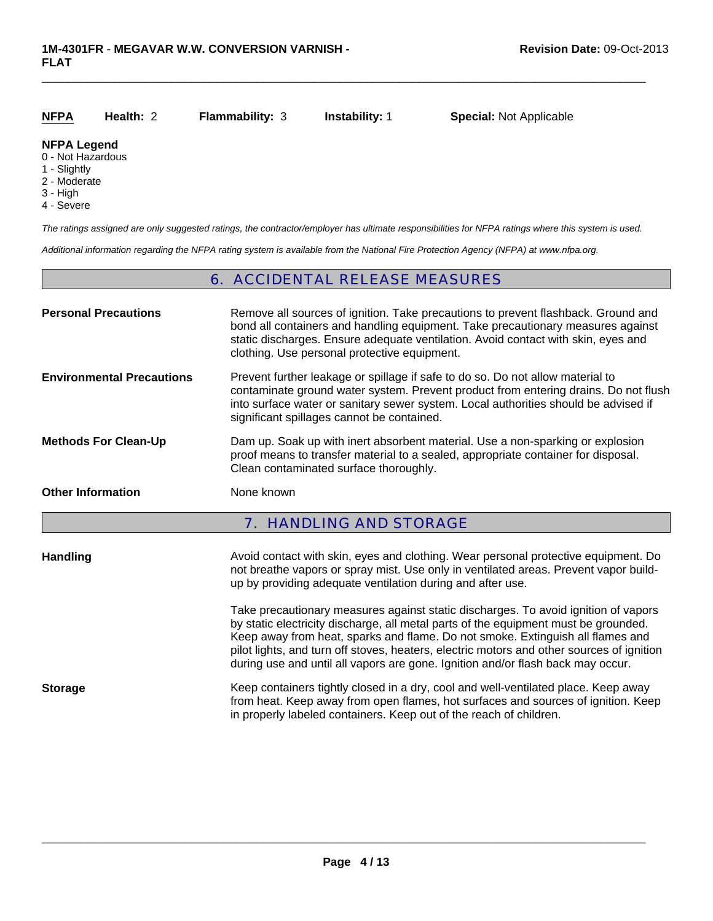#### **Health:** 2 **Flammability:** 3 **NFPA**

 $\Box$ 

**Instability:** 1 **Special:** Not Applicable

#### **NFPA Legend**

- 0 Not Hazardous
- 1 Slightly
- 2 Moderate
- 3 High
- 4 Severe

*The ratings assigned are only suggested ratings, the contractor/employer has ultimate responsibilities for NFPA ratings where this system is used.*

*Additional information regarding the NFPA rating system is available from the National Fire Protection Agency (NFPA) at www.nfpa.org.*

# 6. ACCIDENTAL RELEASE MEASURES

| <b>Personal Precautions</b>      | Remove all sources of ignition. Take precautions to prevent flashback. Ground and<br>bond all containers and handling equipment. Take precautionary measures against<br>static discharges. Ensure adequate ventilation. Avoid contact with skin, eyes and<br>clothing. Use personal protective equipment.                                                                                                                                   |
|----------------------------------|---------------------------------------------------------------------------------------------------------------------------------------------------------------------------------------------------------------------------------------------------------------------------------------------------------------------------------------------------------------------------------------------------------------------------------------------|
| <b>Environmental Precautions</b> | Prevent further leakage or spillage if safe to do so. Do not allow material to<br>contaminate ground water system. Prevent product from entering drains. Do not flush<br>into surface water or sanitary sewer system. Local authorities should be advised if<br>significant spillages cannot be contained.                                                                                                                                  |
| <b>Methods For Clean-Up</b>      | Dam up. Soak up with inert absorbent material. Use a non-sparking or explosion<br>proof means to transfer material to a sealed, appropriate container for disposal.<br>Clean contaminated surface thoroughly.                                                                                                                                                                                                                               |
| <b>Other Information</b>         | None known                                                                                                                                                                                                                                                                                                                                                                                                                                  |
|                                  | <b>7. HANDLING AND STORAGE</b>                                                                                                                                                                                                                                                                                                                                                                                                              |
| <b>Handling</b>                  | Avoid contact with skin, eyes and clothing. Wear personal protective equipment. Do<br>not breathe vapors or spray mist. Use only in ventilated areas. Prevent vapor build-<br>up by providing adequate ventilation during and after use.                                                                                                                                                                                                    |
|                                  | Take precautionary measures against static discharges. To avoid ignition of vapors<br>by static electricity discharge, all metal parts of the equipment must be grounded.<br>Keep away from heat, sparks and flame. Do not smoke. Extinguish all flames and<br>pilot lights, and turn off stoves, heaters, electric motors and other sources of ignition<br>during use and until all vapors are gone. Ignition and/or flash back may occur. |
| <b>Storage</b>                   | Keep containers tightly closed in a dry, cool and well-ventilated place. Keep away<br>from heat. Keep away from open flames, hot surfaces and sources of ignition. Keep<br>in properly labeled containers. Keep out of the reach of children.                                                                                                                                                                                               |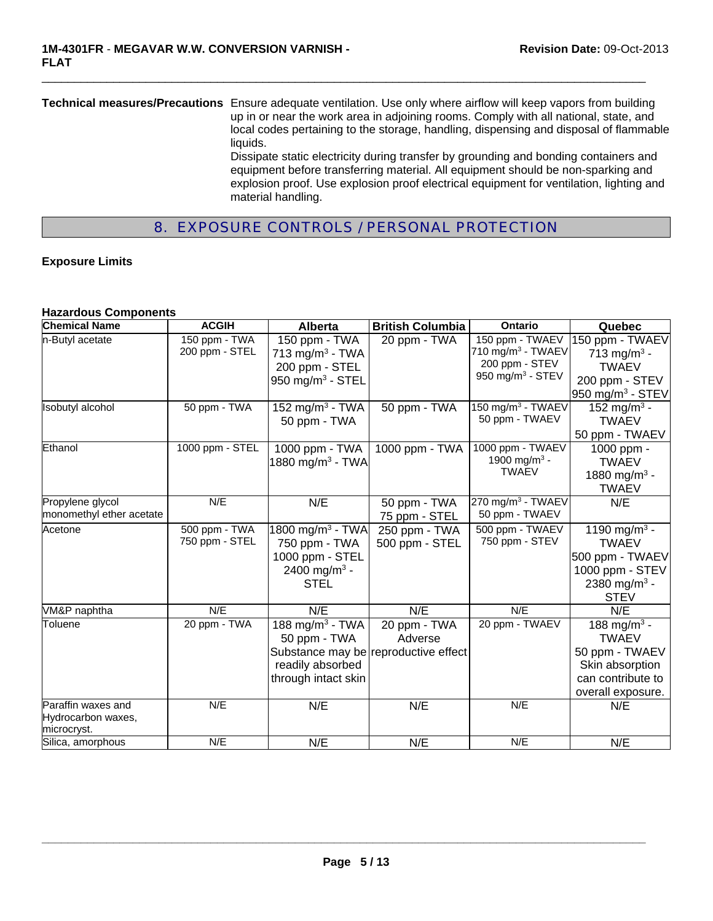**Technical measures/Precautions** Ensure adequate ventilation. Use only where airflow will keep vapors from building up in or near the work area in adjoining rooms. Comply with all national, state, and local codes pertaining to the storage, handling, dispensing and disposal of flammable liquids. Dissipate static electricity during transfer by grounding and bonding containers and equipment before transferring material. All equipment should be non-sparking and explosion proof. Use explosion proof electrical equipment for ventilation, lighting and material handling.

 $\Box$ 

# 8. EXPOSURE CONTROLS / PERSONAL PROTECTION

#### **Exposure Limits**

#### **Hazardous Components**

| <b>Chemical Name</b>                                    | <b>ACGIH</b>                    | Alberta                                                                                                     | <b>British Columbia</b>                                         | <b>Ontario</b>                                               | Quebec                                                                                                                    |
|---------------------------------------------------------|---------------------------------|-------------------------------------------------------------------------------------------------------------|-----------------------------------------------------------------|--------------------------------------------------------------|---------------------------------------------------------------------------------------------------------------------------|
| n-Butyl acetate                                         | 150 ppm - TWA<br>200 ppm - STEL | 150 ppm - TWA<br>713 mg/m <sup>3</sup> - TWA                                                                | 20 ppm - TWA                                                    | 150 ppm - TWAEV<br>710 mg/m $3$ - TWAEV<br>200 ppm - STEV    | 150 ppm - TWAEV<br>713 mg/m <sup>3</sup> -                                                                                |
|                                                         |                                 | 200 ppm - STEL<br>950 mg/m $3$ - STEL                                                                       |                                                                 | 950 mg/m <sup>3</sup> - STEV                                 | <b>TWAEV</b><br>200 ppm - STEV<br>950 mg/m <sup>3</sup> - STEV                                                            |
| <b>Isobutyl alcohol</b>                                 | 50 ppm - TWA                    | 152 mg/m <sup>3</sup> - TWA<br>50 ppm - TWA                                                                 | 50 ppm - TWA                                                    | 150 $mg/m^3$ - TWAEV<br>50 ppm - TWAEV                       | 152 mg/m <sup>3</sup> -<br><b>TWAEV</b><br>50 ppm - TWAEV                                                                 |
| Ethanol                                                 | 1000 ppm - STEL                 | 1000 ppm - TWA<br>1880 mg/m <sup>3</sup> - TWA                                                              | 1000 ppm - TWA                                                  | 1000 ppm - TWAEV<br>1900 mg/m <sup>3</sup> -<br><b>TWAEV</b> | 1000 ppm -<br><b>TWAEV</b><br>1880 mg/m <sup>3</sup> -<br><b>TWAEV</b>                                                    |
| Propylene glycol<br>monomethyl ether acetate            | N/E                             | N/E                                                                                                         | 50 ppm - TWA<br>75 ppm - STEL                                   | 270 mg/m $3$ - TWAEV<br>50 ppm - TWAEV                       | N/E                                                                                                                       |
| Acetone                                                 | 500 ppm - TWA<br>750 ppm - STEL | 1800 mg/m <sup>3</sup> - TWA<br>750 ppm - TWA<br>1000 ppm - STEL<br>2400 mg/m <sup>3</sup> -<br><b>STEL</b> | 250 ppm - TWA<br>500 ppm - STEL                                 | 500 ppm - TWAEV<br>750 ppm - STEV                            | 1190 mg/m <sup>3</sup> -<br><b>TWAEV</b><br>500 ppm - TWAEV<br>1000 ppm - STEV<br>2380 mg/m <sup>3</sup> -<br><b>STEV</b> |
| VM&P naphtha                                            | N/E                             | N/E                                                                                                         | N/E                                                             | N/E                                                          | N/E                                                                                                                       |
| Toluene                                                 | 20 ppm - TWA                    | 188 mg/m <sup>3</sup> - TWA<br>50 ppm - TWA<br>readily absorbed<br>through intact skin                      | 20 ppm - TWA<br>Adverse<br>Substance may be reproductive effect | 20 ppm - TWAEV                                               | 188 mg/m <sup>3</sup> -<br><b>TWAEV</b><br>50 ppm - TWAEV<br>Skin absorption<br>can contribute to<br>overall exposure.    |
| Paraffin waxes and<br>Hydrocarbon waxes,<br>microcryst. | N/E                             | N/E                                                                                                         | N/E                                                             | N/E                                                          | N/E                                                                                                                       |
| Silica, amorphous                                       | N/E                             | N/E                                                                                                         | N/E                                                             | N/E                                                          | N/E                                                                                                                       |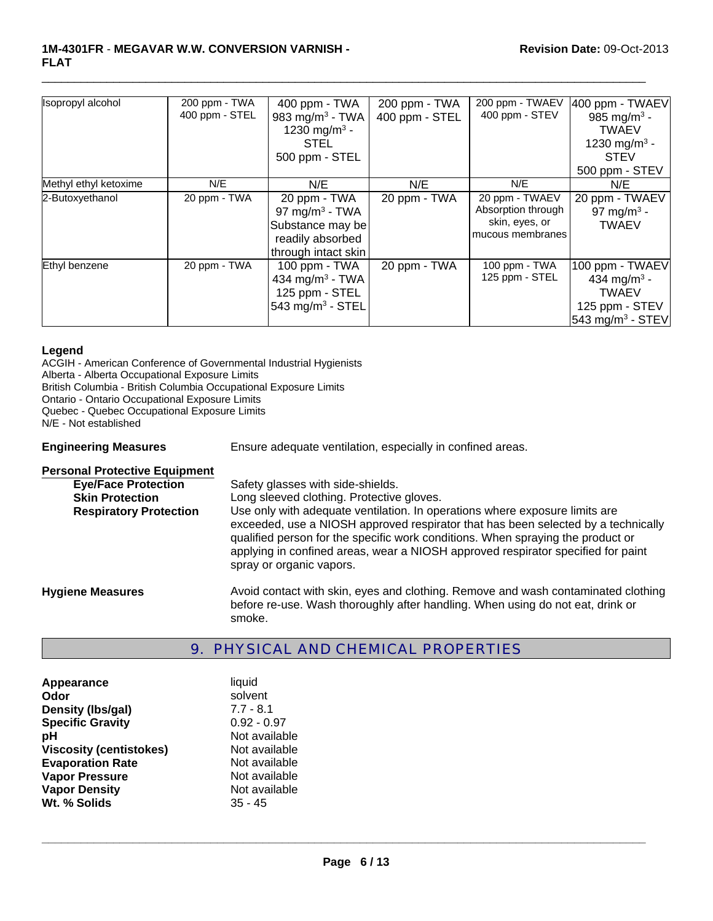#### **1M-4301FR** - **MEGAVAR W.W. CONVERSION VARNISH - FLAT**

| Isopropyl alcohol     | 200 ppm - TWA  | 400 ppm - TWA                | 200 ppm - TWA  | 200 ppm - TWAEV    | 400 ppm - TWAEV              |
|-----------------------|----------------|------------------------------|----------------|--------------------|------------------------------|
|                       | 400 ppm - STEL | 983 mg/m <sup>3</sup> - TWA  | 400 ppm - STEL | 400 ppm - STEV     | 985 mg/m <sup>3</sup> -      |
|                       |                | 1230 mg/m <sup>3</sup> -     |                |                    | <b>TWAEV</b>                 |
|                       |                | <b>STEL</b>                  |                |                    | 1230 mg/m <sup>3</sup> -     |
|                       |                | 500 ppm - STEL               |                |                    | <b>STEV</b>                  |
|                       |                |                              |                |                    | 500 ppm - STEV               |
| Methyl ethyl ketoxime | N/E            | N/E                          | N/E            | N/E                | N/E                          |
| 2-Butoxyethanol       | 20 ppm - TWA   | 20 ppm - TWA                 | 20 ppm - TWA   | 20 ppm - TWAEV     | 20 ppm - TWAEV               |
|                       |                | 97 mg/m <sup>3</sup> - TWA   |                | Absorption through | 97 mg/m <sup>3</sup> -       |
|                       |                | Substance may be             |                | skin, eyes, or     | <b>TWAEV</b>                 |
|                       |                | readily absorbed             |                | mucous membranes   |                              |
|                       |                | through intact skin          |                |                    |                              |
| Ethyl benzene         | 20 ppm - TWA   | 100 ppm - TWA                | 20 ppm - TWA   | 100 ppm - TWA      | 100 ppm - TWAEV              |
|                       |                | 434 mg/m <sup>3</sup> - TWA  |                | 125 ppm - STEL     | 434 mg/m <sup>3</sup> -      |
|                       |                | 125 ppm - STEL               |                |                    | <b>TWAEV</b>                 |
|                       |                | 543 mg/m <sup>3</sup> - STEL |                |                    | 125 ppm - STEV               |
|                       |                |                              |                |                    | 543 mg/m <sup>3</sup> - STEV |

 $\Box$ 

#### **Legend**

ACGIH - American Conference of Governmental Industrial Hygienists Alberta - Alberta Occupational Exposure Limits British Columbia - British Columbia Occupational Exposure Limits Ontario - Ontario Occupational Exposure Limits Quebec - Quebec Occupational Exposure Limits N/E - Not established **Engineering Measures** Ensure adequate ventilation, especially in confined areas.

| <b>Personal Protective Equipment</b> |                                                                                                                                                                                                                                                                                                                                                                     |
|--------------------------------------|---------------------------------------------------------------------------------------------------------------------------------------------------------------------------------------------------------------------------------------------------------------------------------------------------------------------------------------------------------------------|
| <b>Eye/Face Protection</b>           | Safety glasses with side-shields.                                                                                                                                                                                                                                                                                                                                   |
| <b>Skin Protection</b>               | Long sleeved clothing. Protective gloves.                                                                                                                                                                                                                                                                                                                           |
| <b>Respiratory Protection</b>        | Use only with adequate ventilation. In operations where exposure limits are<br>exceeded, use a NIOSH approved respirator that has been selected by a technically<br>qualified person for the specific work conditions. When spraying the product or<br>applying in confined areas, wear a NIOSH approved respirator specified for paint<br>spray or organic vapors. |
| <b>Hygiene Measures</b>              | Avoid contact with skin, eyes and clothing. Remove and wash contaminated clothing<br>before re-use. Wash thoroughly after handling. When using do not eat, drink or<br>smoke.                                                                                                                                                                                       |

## 9. PHYSICAL AND CHEMICAL PROPERTIES

| Appearance                     | liquid        |
|--------------------------------|---------------|
| Odor                           | solvent       |
| Density (Ibs/gal)              | $7.7 - 8.1$   |
| <b>Specific Gravity</b>        | $0.92 - 0.97$ |
| рH                             | Not available |
| <b>Viscosity (centistokes)</b> | Not available |
| <b>Evaporation Rate</b>        | Not available |
| <b>Vapor Pressure</b>          | Not available |
| <b>Vapor Density</b>           | Not available |
| Wt. % Solids                   | $35 - 45$     |
|                                |               |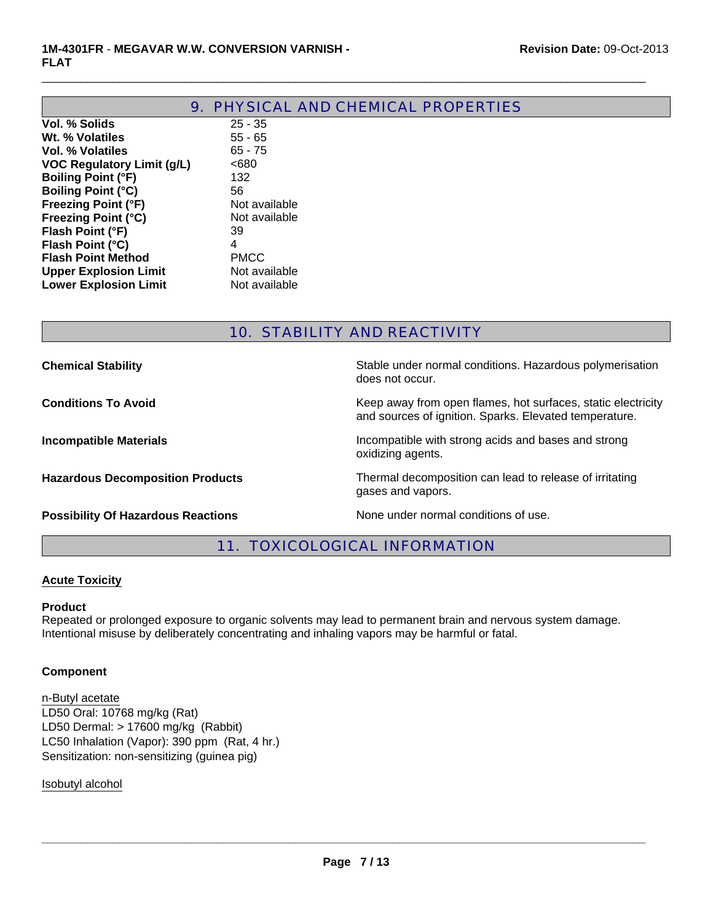**Lower Explosion Limit** Not available

|                                   | <b>9. PHYSICAL AND CHEMICAL PROPERTIES</b> |
|-----------------------------------|--------------------------------------------|
| Vol. % Solids                     | $25 - 35$                                  |
| Wt. % Volatiles                   | $55 - 65$                                  |
| Vol. % Volatiles                  | $65 - 75$                                  |
| <b>VOC Regulatory Limit (g/L)</b> | <680                                       |
| <b>Boiling Point (°F)</b>         | 132                                        |
| <b>Boiling Point (°C)</b>         | 56                                         |
| <b>Freezing Point (°F)</b>        | Not available                              |
| <b>Freezing Point (°C)</b>        | Not available                              |
| Flash Point (°F)                  | 39                                         |
| Flash Point (°C)                  | 4                                          |
| <b>Flash Point Method</b>         | <b>PMCC</b>                                |
| <b>Upper Explosion Limit</b>      | Not available                              |

 $\Box$ 

# 10. STABILITY AND REACTIVITY

| <b>Chemical Stability</b>                 | Stable under normal conditions. Hazardous polymerisation<br>does not occur.                                            |
|-------------------------------------------|------------------------------------------------------------------------------------------------------------------------|
| <b>Conditions To Avoid</b>                | Keep away from open flames, hot surfaces, static electricity<br>and sources of ignition. Sparks. Elevated temperature. |
| <b>Incompatible Materials</b>             | Incompatible with strong acids and bases and strong<br>oxidizing agents.                                               |
| <b>Hazardous Decomposition Products</b>   | Thermal decomposition can lead to release of irritating<br>gases and vapors.                                           |
| <b>Possibility Of Hazardous Reactions</b> | None under normal conditions of use.                                                                                   |

# 11. TOXICOLOGICAL INFORMATION

#### **Acute Toxicity**

#### **Product**

Repeated or prolonged exposure to organic solvents may lead to permanent brain and nervous system damage. Intentional misuse by deliberately concentrating and inhaling vapors may be harmful or fatal.

#### **Component**

LD50 Oral: 10768 mg/kg (Rat) LD50 Dermal: > 17600 mg/kg (Rabbit) n-Butyl acetate LC50 Inhalation (Vapor): 390 ppm (Rat, 4 hr.) Sensitization: non-sensitizing (guinea pig)

Isobutyl alcohol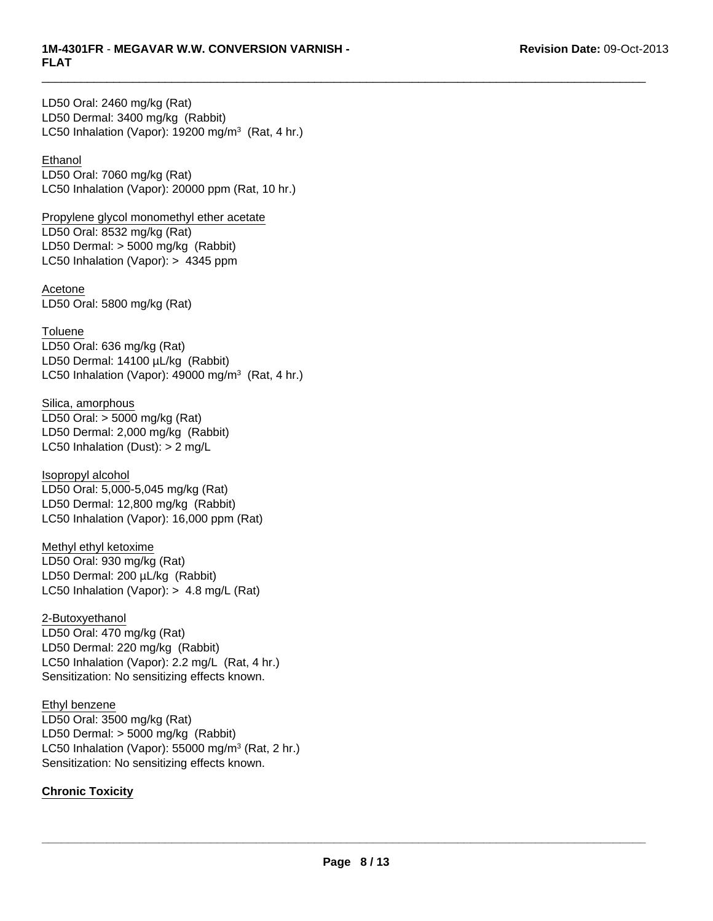$\Box$ 

LD50 Dermal: 3400 mg/kg (Rabbit) LC50 Inhalation (Vapor): 19200 mg/m<sup>3</sup> (Rat, 4 hr.) LD50 Oral: 2460 mg/kg (Rat)

#### **Ethanol**

LD50 Oral: 7060 mg/kg (Rat) LC50 Inhalation (Vapor): 20000 ppm (Rat, 10 hr.)

Propylene glycol monomethyl ether acetate LD50 Oral: 8532 mg/kg (Rat) LD50 Dermal: > 5000 mg/kg (Rabbit) LC50 Inhalation (Vapor): > 4345 ppm

Acetone LD50 Oral: 5800 mg/kg (Rat)

**Toluene** LD50 Oral: 636 mg/kg (Rat) LD50 Dermal: 14100 µL/kg (Rabbit) LC50 Inhalation (Vapor):  $49000$  mg/m<sup>3</sup> (Rat, 4 hr.)

Silica, amorphous LD50 Oral: > 5000 mg/kg (Rat) LD50 Dermal: 2,000 mg/kg (Rabbit) LC50 Inhalation (Dust): > 2 mg/L

LD50 Dermal: 12,800 mg/kg (Rabbit) LC50 Inhalation (Vapor): 16,000 ppm (Rat) Isopropyl alcohol LD50 Oral: 5,000-5,045 mg/kg (Rat)

Methyl ethyl ketoxime LD50 Oral: 930 mg/kg (Rat) LD50 Dermal: 200 µL/kg (Rabbit) LC50 Inhalation (Vapor): > 4.8 mg/L (Rat)

2-Butoxyethanol LD50 Oral: 470 mg/kg (Rat) LD50 Dermal: 220 mg/kg (Rabbit) LC50 Inhalation (Vapor): 2.2 mg/L (Rat, 4 hr.) Sensitization: No sensitizing effects known.

Ethyl benzene LD50 Oral: 3500 mg/kg (Rat) LD50 Dermal: > 5000 mg/kg (Rabbit) LC50 Inhalation (Vapor): 55000 mg/m $3$  (Rat, 2 hr.) Sensitization: No sensitizing effects known.

### **Chronic Toxicity**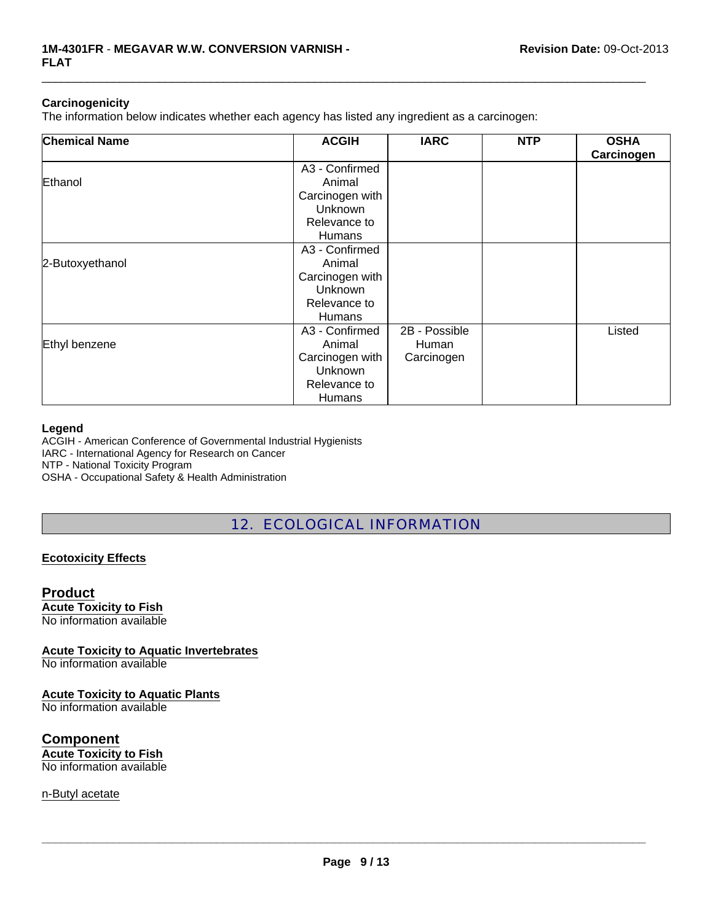#### **Carcinogenicity**

The information below indicates whether each agency has listed any ingredient as a carcinogen:

| <b>Chemical Name</b> | <b>ACGIH</b>    | <b>IARC</b>   | <b>NTP</b> | <b>OSHA</b><br>Carcinogen |
|----------------------|-----------------|---------------|------------|---------------------------|
|                      | A3 - Confirmed  |               |            |                           |
| Ethanol              | Animal          |               |            |                           |
|                      | Carcinogen with |               |            |                           |
|                      | Unknown         |               |            |                           |
|                      | Relevance to    |               |            |                           |
|                      | <b>Humans</b>   |               |            |                           |
|                      | A3 - Confirmed  |               |            |                           |
| 2-Butoxyethanol      | Animal          |               |            |                           |
|                      | Carcinogen with |               |            |                           |
|                      | Unknown         |               |            |                           |
|                      | Relevance to    |               |            |                           |
|                      | <b>Humans</b>   |               |            |                           |
|                      | A3 - Confirmed  | 2B - Possible |            | Listed                    |
| Ethyl benzene        | Animal          | Human         |            |                           |
|                      | Carcinogen with | Carcinogen    |            |                           |
|                      | Unknown         |               |            |                           |
|                      | Relevance to    |               |            |                           |
|                      | Humans          |               |            |                           |

 $\Box$ 

#### **Legend**

ACGIH - American Conference of Governmental Industrial Hygienists IARC - International Agency for Research on Cancer NTP - National Toxicity Program

OSHA - Occupational Safety & Health Administration

# 12. ECOLOGICAL INFORMATION

#### **Ecotoxicity Effects**

#### **Product**

**Acute Toxicity to Fish** No information available

**Acute Toxicity to Aquatic Invertebrates**

No information available

#### **Acute Toxicity to Aquatic Plants**

No information available

**Component Acute Toxicity to Fish** No information available

n-Butyl acetate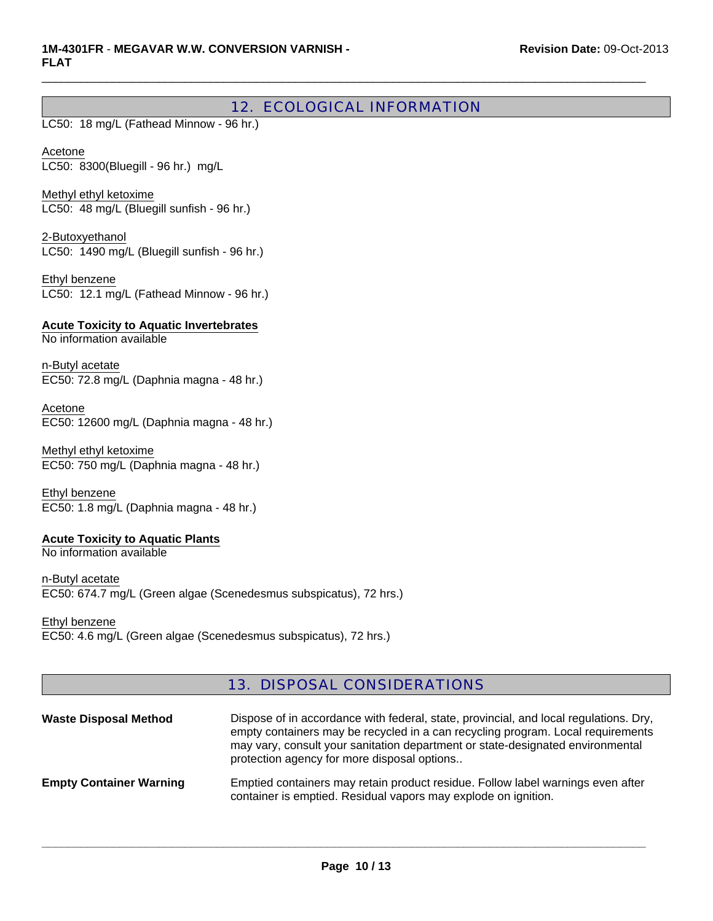# 12. ECOLOGICAL INFORMATION

 $\Box$ 

LC50: 18 mg/L (Fathead Minnow - 96 hr.)

Acetone LC50: 8300(Bluegill - 96 hr.) mg/L

Methyl ethyl ketoxime LC50: 48 mg/L (Bluegill sunfish - 96 hr.)

2-Butoxyethanol LC50: 1490 mg/L (Bluegill sunfish - 96 hr.)

Ethyl benzene LC50: 12.1 mg/L (Fathead Minnow - 96 hr.)

**Acute Toxicity to Aquatic Invertebrates** No information available

n-Butyl acetate EC50: 72.8 mg/L (Daphnia magna - 48 hr.)

Acetone EC50: 12600 mg/L (Daphnia magna - 48 hr.)

Methyl ethyl ketoxime EC50: 750 mg/L (Daphnia magna - 48 hr.)

Ethyl benzene EC50: 1.8 mg/L (Daphnia magna - 48 hr.)

### **Acute Toxicity to Aquatic Plants**

No information available

n-Butyl acetate EC50: 674.7 mg/L (Green algae (Scenedesmus subspicatus), 72 hrs.)

Ethyl benzene

EC50: 4.6 mg/L (Green algae (Scenedesmus subspicatus), 72 hrs.)

### 13. DISPOSAL CONSIDERATIONS

| <b>Waste Disposal Method</b>   | Dispose of in accordance with federal, state, provincial, and local regulations. Dry,<br>empty containers may be recycled in a can recycling program. Local requirements<br>may vary, consult your sanitation department or state-designated environmental<br>protection agency for more disposal options |
|--------------------------------|-----------------------------------------------------------------------------------------------------------------------------------------------------------------------------------------------------------------------------------------------------------------------------------------------------------|
| <b>Empty Container Warning</b> | Emptied containers may retain product residue. Follow label warnings even after<br>container is emptied. Residual vapors may explode on ignition.                                                                                                                                                         |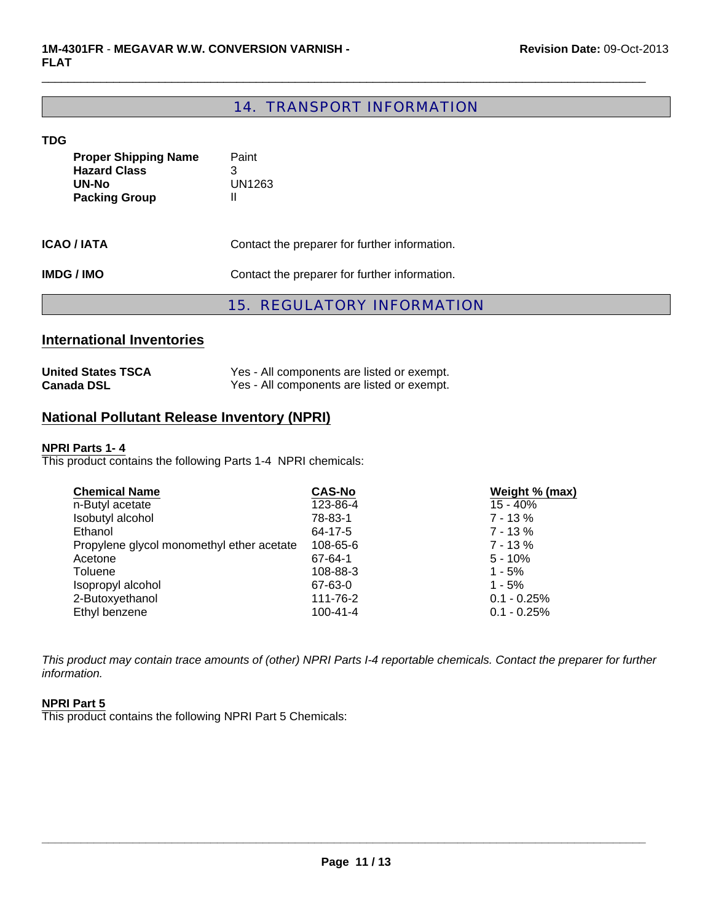# 14. TRANSPORT INFORMATION

 $\Box$ 

#### **TDG**

|                                                                                     | <b>15. REGULATORY INFORMATION</b>             |
|-------------------------------------------------------------------------------------|-----------------------------------------------|
| <b>IMDG/IMO</b>                                                                     | Contact the preparer for further information. |
| <b>ICAO / IATA</b>                                                                  | Contact the preparer for further information. |
| <b>Proper Shipping Name</b><br><b>Hazard Class</b><br>UN-No<br><b>Packing Group</b> | Paint<br>3<br>UN1263<br>Ш                     |

# **International Inventories**

| <b>United States TSCA</b> | Yes - All components are listed or exempt. |
|---------------------------|--------------------------------------------|
| <b>Canada DSL</b>         | Yes - All components are listed or exempt. |

# **National Pollutant Release Inventory (NPRI)**

#### **NPRI Parts 1- 4**

This product contains the following Parts 1-4 NPRI chemicals:

| <b>Chemical Name</b>                      | <b>CAS-No</b>  | Weight % (max) |
|-------------------------------------------|----------------|----------------|
| n-Butyl acetate                           | 123-86-4       | 15 - 40%       |
| Isobutyl alcohol                          | 78-83-1        | $7 - 13%$      |
| Ethanol                                   | 64-17-5        | $7 - 13%$      |
| Propylene glycol monomethyl ether acetate | 108-65-6       | $7 - 13%$      |
| Acetone                                   | 67-64-1        | $5 - 10%$      |
| Toluene                                   | 108-88-3       | $1 - 5%$       |
| Isopropyl alcohol                         | 67-63-0        | $1 - 5%$       |
| 2-Butoxyethanol                           | 111-76-2       | $0.1 - 0.25%$  |
| Ethyl benzene                             | $100 - 41 - 4$ | $0.1 - 0.25%$  |

*This product may contain trace amounts of (other) NPRI Parts I-4 reportable chemicals. Contact the preparer for further information.*

#### **NPRI Part 5**

This product contains the following NPRI Part 5 Chemicals: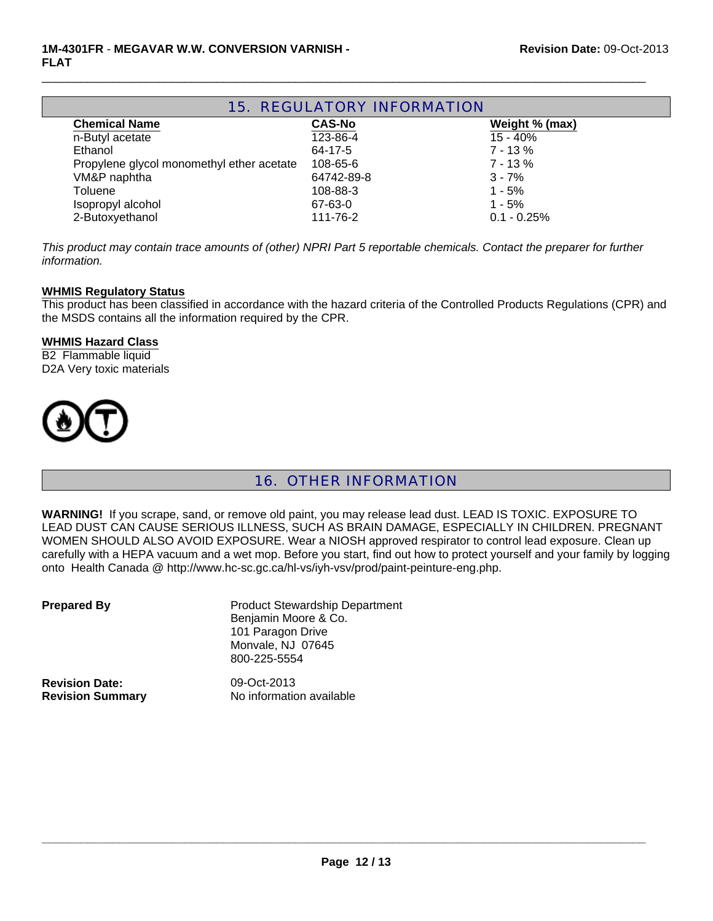| <b>15. REGULATORY INFORMATION</b>         |               |                |  |  |
|-------------------------------------------|---------------|----------------|--|--|
| <b>Chemical Name</b>                      | <b>CAS-No</b> | Weight % (max) |  |  |
| n-Butyl acetate                           | 123-86-4      | 15 - 40%       |  |  |
| Ethanol                                   | 64-17-5       | $7 - 13 \%$    |  |  |
| Propylene glycol monomethyl ether acetate | 108-65-6      | $7 - 13%$      |  |  |
| VM&P naphtha                              | 64742-89-8    | $3 - 7%$       |  |  |
| Toluene                                   | 108-88-3      | $1 - 5%$       |  |  |
| Isopropyl alcohol                         | 67-63-0       | $1 - 5%$       |  |  |
| 2-Butoxyethanol                           | 111-76-2      | $0.1 - 0.25%$  |  |  |

 $\Box$ 

*This product may contain trace amounts of (other) NPRI Part 5 reportable chemicals. Contact the preparer for further information.*

#### **WHMIS Regulatory Status**

This product has been classified in accordance with the hazard criteria of the Controlled Products Regulations (CPR) and the MSDS contains all the information required by the CPR.

#### **WHMIS Hazard Class**

B2 Flammable liquid D2A Very toxic materials



# 16. OTHER INFORMATION

**WARNING!** If you scrape, sand, or remove old paint, you may release lead dust. LEAD IS TOXIC. EXPOSURE TO LEAD DUST CAN CAUSE SERIOUS ILLNESS, SUCH AS BRAIN DAMAGE, ESPECIALLY IN CHILDREN. PREGNANT WOMEN SHOULD ALSO AVOID EXPOSURE. Wear a NIOSH approved respirator to control lead exposure. Clean up carefully with a HEPA vacuum and a wet mop. Before you start, find out how to protect yourself and your family by logging onto Health Canada @ http://www.hc-sc.gc.ca/hl-vs/iyh-vsv/prod/paint-peinture-eng.php.

| <b>Prepared By</b>      | <b>Product Stewardship Department</b><br>Benjamin Moore & Co.<br>101 Paragon Drive<br>Monvale, NJ 07645<br>800-225-5554 |
|-------------------------|-------------------------------------------------------------------------------------------------------------------------|
| <b>Revision Date:</b>   | 09-Oct-2013                                                                                                             |
| <b>Revision Summary</b> | No information available                                                                                                |